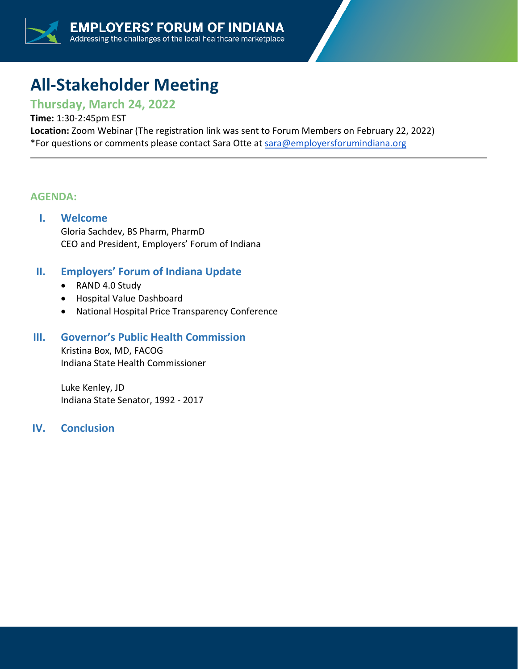# **All-Stakeholder Meeting**

# **Thursday, March 24, 2022**

#### **Time:** 1:30-2:45pm EST

**Location:** Zoom Webinar (The registration link was sent to Forum Members on February 22, 2022) \*For questions or comments please contact Sara Otte at [sara@employersforumindiana.org](mailto:sara@employersforumindiana.org)

#### **AGENDA:**

#### **I. Welcome**

Gloria Sachdev, BS Pharm, PharmD CEO and President, Employers' Forum of Indiana

## **II. Employers' Forum of Indiana Update**

- RAND 4.0 Study
- Hospital Value Dashboard
- National Hospital Price Transparency Conference

#### **III. Governor's Public Health Commission**

Kristina Box, MD, FACOG Indiana State Health Commissioner

Luke Kenley, JD Indiana State Senator, 1992 - 2017

### **IV. Conclusion**